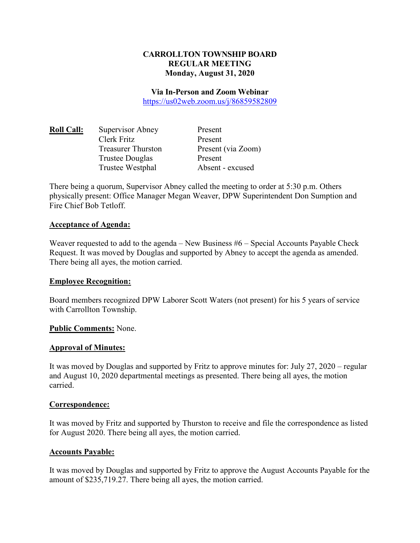### **CARROLLTON TOWNSHIP BOARD REGULAR MEETING Monday, August 31, 2020**

#### **Via In-Person and Zoom Webinar**

https://us02web.zoom.us/j/86859582809

| <b>Roll Call:</b> | Supervisor Abney          | Present            |
|-------------------|---------------------------|--------------------|
|                   | Clerk Fritz               | Present            |
|                   | <b>Treasurer Thurston</b> | Present (via Zoom) |
|                   | Trustee Douglas           | Present            |
|                   | Trustee Westphal          | Absent - excused   |

There being a quorum, Supervisor Abney called the meeting to order at 5:30 p.m. Others physically present: Office Manager Megan Weaver, DPW Superintendent Don Sumption and Fire Chief Bob Tetloff.

#### **Acceptance of Agenda:**

Weaver requested to add to the agenda – New Business #6 – Special Accounts Payable Check Request. It was moved by Douglas and supported by Abney to accept the agenda as amended. There being all ayes, the motion carried.

#### **Employee Recognition:**

Board members recognized DPW Laborer Scott Waters (not present) for his 5 years of service with Carrollton Township.

### **Public Comments:** None.

#### **Approval of Minutes:**

It was moved by Douglas and supported by Fritz to approve minutes for: July 27, 2020 – regular and August 10, 2020 departmental meetings as presented. There being all ayes, the motion carried.

### **Correspondence:**

It was moved by Fritz and supported by Thurston to receive and file the correspondence as listed for August 2020. There being all ayes, the motion carried.

### **Accounts Payable:**

It was moved by Douglas and supported by Fritz to approve the August Accounts Payable for the amount of \$235,719.27. There being all ayes, the motion carried.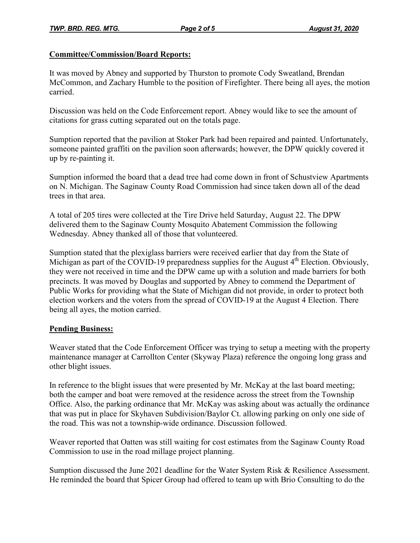## **Committee/Commission/Board Reports:**

It was moved by Abney and supported by Thurston to promote Cody Sweatland, Brendan McCommon, and Zachary Humble to the position of Firefighter. There being all ayes, the motion carried.

Discussion was held on the Code Enforcement report. Abney would like to see the amount of citations for grass cutting separated out on the totals page.

Sumption reported that the pavilion at Stoker Park had been repaired and painted. Unfortunately, someone painted graffiti on the pavilion soon afterwards; however, the DPW quickly covered it up by re-painting it.

Sumption informed the board that a dead tree had come down in front of Schustview Apartments on N. Michigan. The Saginaw County Road Commission had since taken down all of the dead trees in that area.

A total of 205 tires were collected at the Tire Drive held Saturday, August 22. The DPW delivered them to the Saginaw County Mosquito Abatement Commission the following Wednesday. Abney thanked all of those that volunteered.

Sumption stated that the plexiglass barriers were received earlier that day from the State of Michigan as part of the COVID-19 preparedness supplies for the August 4<sup>th</sup> Election. Obviously, they were not received in time and the DPW came up with a solution and made barriers for both precincts. It was moved by Douglas and supported by Abney to commend the Department of Public Works for providing what the State of Michigan did not provide, in order to protect both election workers and the voters from the spread of COVID-19 at the August 4 Election. There being all ayes, the motion carried.

# **Pending Business:**

Weaver stated that the Code Enforcement Officer was trying to setup a meeting with the property maintenance manager at Carrollton Center (Skyway Plaza) reference the ongoing long grass and other blight issues.

In reference to the blight issues that were presented by Mr. McKay at the last board meeting; both the camper and boat were removed at the residence across the street from the Township Office. Also, the parking ordinance that Mr. McKay was asking about was actually the ordinance that was put in place for Skyhaven Subdivision/Baylor Ct. allowing parking on only one side of the road. This was not a township-wide ordinance. Discussion followed.

Weaver reported that Oatten was still waiting for cost estimates from the Saginaw County Road Commission to use in the road millage project planning.

Sumption discussed the June 2021 deadline for the Water System Risk & Resilience Assessment. He reminded the board that Spicer Group had offered to team up with Brio Consulting to do the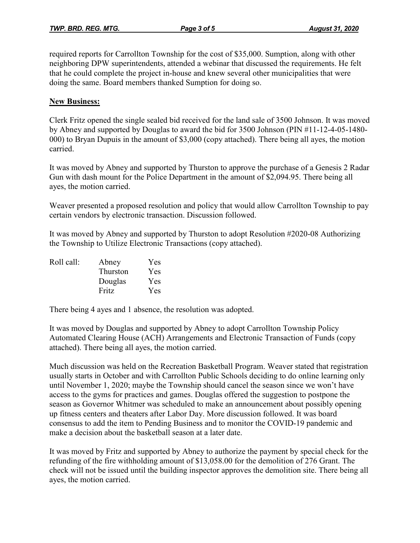required reports for Carrollton Township for the cost of \$35,000. Sumption, along with other neighboring DPW superintendents, attended a webinar that discussed the requirements. He felt that he could complete the project in-house and knew several other municipalities that were doing the same. Board members thanked Sumption for doing so.

### **New Business:**

Clerk Fritz opened the single sealed bid received for the land sale of 3500 Johnson. It was moved by Abney and supported by Douglas to award the bid for 3500 Johnson (PIN #11-12-4-05-1480- 000) to Bryan Dupuis in the amount of \$3,000 (copy attached). There being all ayes, the motion carried.

It was moved by Abney and supported by Thurston to approve the purchase of a Genesis 2 Radar Gun with dash mount for the Police Department in the amount of \$2,094.95. There being all ayes, the motion carried.

Weaver presented a proposed resolution and policy that would allow Carrollton Township to pay certain vendors by electronic transaction. Discussion followed.

It was moved by Abney and supported by Thurston to adopt Resolution #2020-08 Authorizing the Township to Utilize Electronic Transactions (copy attached).

| Roll call: | Abney    | Yes |
|------------|----------|-----|
|            | Thurston | Yes |
|            | Douglas  | Yes |
|            | Fritz    | Yes |

There being 4 ayes and 1 absence, the resolution was adopted.

It was moved by Douglas and supported by Abney to adopt Carrollton Township Policy Automated Clearing House (ACH) Arrangements and Electronic Transaction of Funds (copy attached). There being all ayes, the motion carried.

Much discussion was held on the Recreation Basketball Program. Weaver stated that registration usually starts in October and with Carrollton Public Schools deciding to do online learning only until November 1, 2020; maybe the Township should cancel the season since we won't have access to the gyms for practices and games. Douglas offered the suggestion to postpone the season as Governor Whitmer was scheduled to make an announcement about possibly opening up fitness centers and theaters after Labor Day. More discussion followed. It was board consensus to add the item to Pending Business and to monitor the COVID-19 pandemic and make a decision about the basketball season at a later date.

It was moved by Fritz and supported by Abney to authorize the payment by special check for the refunding of the fire withholding amount of \$13,058.00 for the demolition of 276 Grant. The check will not be issued until the building inspector approves the demolition site. There being all ayes, the motion carried.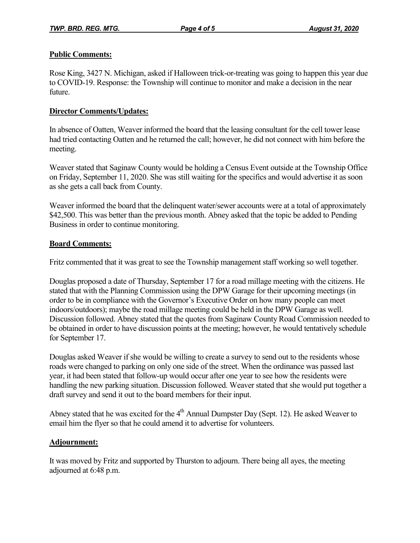# **Public Comments:**

Rose King, 3427 N. Michigan, asked if Halloween trick-or-treating was going to happen this year due to COVID-19. Response: the Township will continue to monitor and make a decision in the near future.

# **Director Comments/Updates:**

In absence of Oatten, Weaver informed the board that the leasing consultant for the cell tower lease had tried contacting Oatten and he returned the call; however, he did not connect with him before the meeting.

Weaver stated that Saginaw County would be holding a Census Event outside at the Township Office on Friday, September 11, 2020. She was still waiting for the specifics and would advertise it as soon as she gets a call back from County.

Weaver informed the board that the delinquent water/sewer accounts were at a total of approximately \$42,500. This was better than the previous month. Abney asked that the topic be added to Pending Business in order to continue monitoring.

### **Board Comments:**

Fritz commented that it was great to see the Township management staff working so well together.

Douglas proposed a date of Thursday, September 17 for a road millage meeting with the citizens. He stated that with the Planning Commission using the DPW Garage for their upcoming meetings (in order to be in compliance with the Governor's Executive Order on how many people can meet indoors/outdoors); maybe the road millage meeting could be held in the DPW Garage as well. Discussion followed. Abney stated that the quotes from Saginaw County Road Commission needed to be obtained in order to have discussion points at the meeting; however, he would tentatively schedule for September 17.

Douglas asked Weaver if she would be willing to create a survey to send out to the residents whose roads were changed to parking on only one side of the street. When the ordinance was passed last year, it had been stated that follow-up would occur after one year to see how the residents were handling the new parking situation. Discussion followed. Weaver stated that she would put together a draft survey and send it out to the board members for their input.

Abney stated that he was excited for the  $4<sup>th</sup>$  Annual Dumpster Day (Sept. 12). He asked Weaver to email him the flyer so that he could amend it to advertise for volunteers.

# **Adjournment:**

It was moved by Fritz and supported by Thurston to adjourn. There being all ayes, the meeting adjourned at 6:48 p.m.